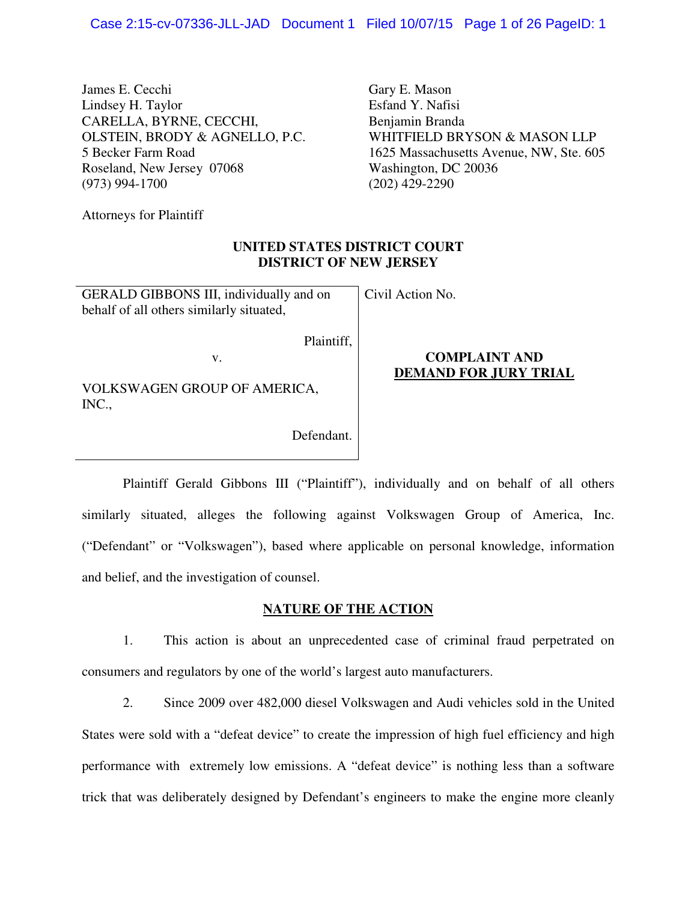James E. Cecchi Lindsey H. Taylor CARELLA, BYRNE, CECCHI, OLSTEIN, BRODY & AGNELLO, P.C. 5 Becker Farm Road Roseland, New Jersey 07068 (973) 994-1700

Gary E. Mason Esfand Y. Nafisi Benjamin Branda WHITFIELD BRYSON & MASON LLP 1625 Massachusetts Avenue, NW, Ste. 605 Washington, DC 20036 (202) 429-2290

Attorneys for Plaintiff

### **UNITED STATES DISTRICT COURT DISTRICT OF NEW JERSEY**

Civil Action No.

GERALD GIBBONS III, individually and on behalf of all others similarly situated,

Plaintiff,

v.

VOLKSWAGEN GROUP OF AMERICA, INC.,

Defendant.

## **COMPLAINT AND DEMAND FOR JURY TRIAL**

 Plaintiff Gerald Gibbons III ("Plaintiff"), individually and on behalf of all others similarly situated, alleges the following against Volkswagen Group of America, Inc. ("Defendant" or "Volkswagen"), based where applicable on personal knowledge, information and belief, and the investigation of counsel.

## **NATURE OF THE ACTION**

1. This action is about an unprecedented case of criminal fraud perpetrated on consumers and regulators by one of the world's largest auto manufacturers.

2. Since 2009 over 482,000 diesel Volkswagen and Audi vehicles sold in the United States were sold with a "defeat device" to create the impression of high fuel efficiency and high performance with extremely low emissions. A "defeat device" is nothing less than a software trick that was deliberately designed by Defendant's engineers to make the engine more cleanly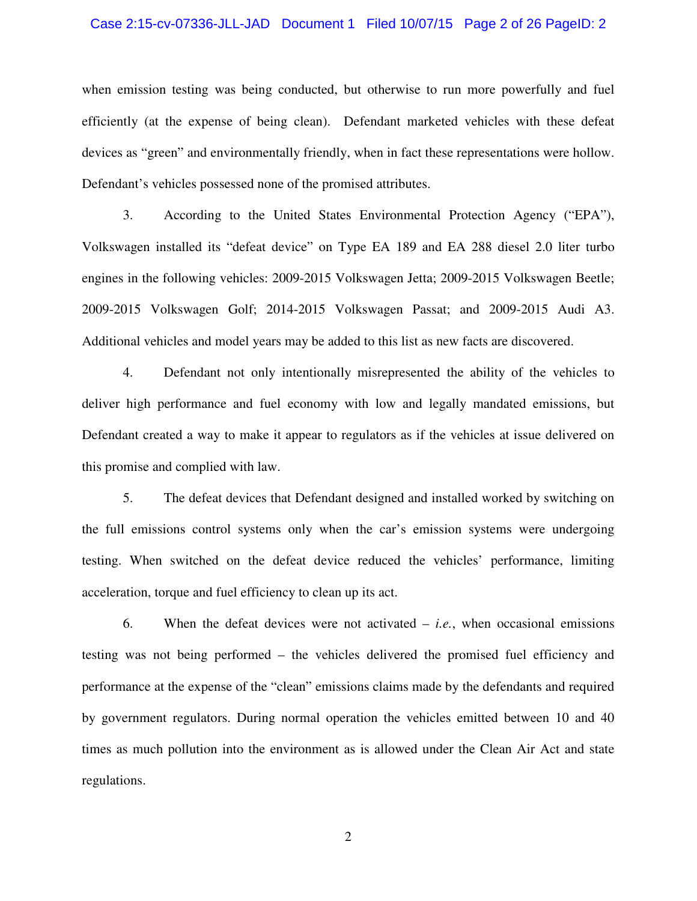#### Case 2:15-cv-07336-JLL-JAD Document 1 Filed 10/07/15 Page 2 of 26 PageID: 2

when emission testing was being conducted, but otherwise to run more powerfully and fuel efficiently (at the expense of being clean). Defendant marketed vehicles with these defeat devices as "green" and environmentally friendly, when in fact these representations were hollow. Defendant's vehicles possessed none of the promised attributes.

3. According to the United States Environmental Protection Agency ("EPA"), Volkswagen installed its "defeat device" on Type EA 189 and EA 288 diesel 2.0 liter turbo engines in the following vehicles: 2009-2015 Volkswagen Jetta; 2009-2015 Volkswagen Beetle; 2009-2015 Volkswagen Golf; 2014-2015 Volkswagen Passat; and 2009-2015 Audi A3. Additional vehicles and model years may be added to this list as new facts are discovered.

4. Defendant not only intentionally misrepresented the ability of the vehicles to deliver high performance and fuel economy with low and legally mandated emissions, but Defendant created a way to make it appear to regulators as if the vehicles at issue delivered on this promise and complied with law.

5. The defeat devices that Defendant designed and installed worked by switching on the full emissions control systems only when the car's emission systems were undergoing testing. When switched on the defeat device reduced the vehicles' performance, limiting acceleration, torque and fuel efficiency to clean up its act.

6. When the defeat devices were not activated – *i.e.*, when occasional emissions testing was not being performed – the vehicles delivered the promised fuel efficiency and performance at the expense of the "clean" emissions claims made by the defendants and required by government regulators. During normal operation the vehicles emitted between 10 and 40 times as much pollution into the environment as is allowed under the Clean Air Act and state regulations.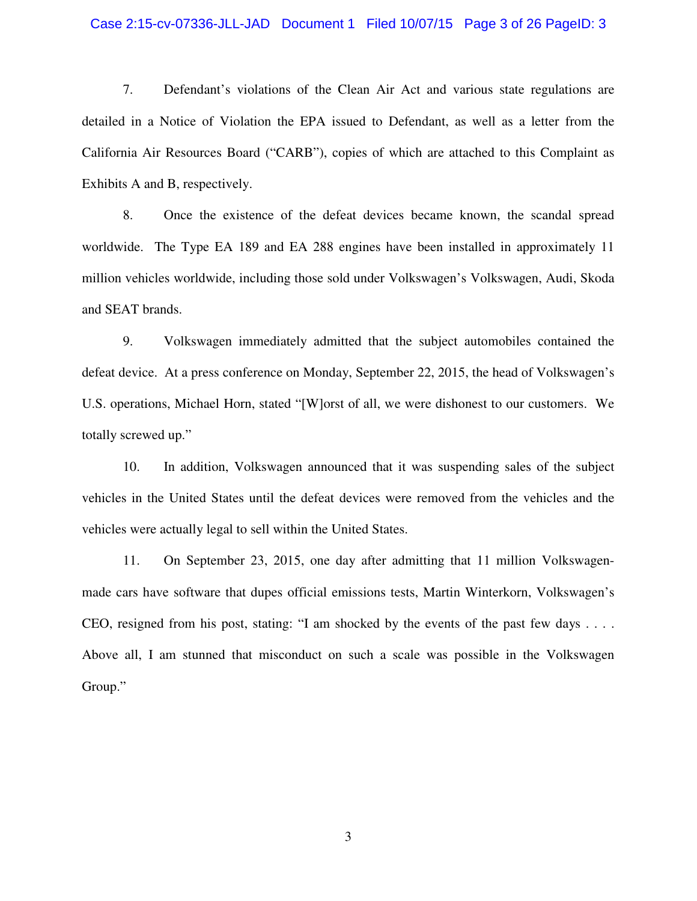#### Case 2:15-cv-07336-JLL-JAD Document 1 Filed 10/07/15 Page 3 of 26 PageID: 3

7. Defendant's violations of the Clean Air Act and various state regulations are detailed in a Notice of Violation the EPA issued to Defendant, as well as a letter from the California Air Resources Board ("CARB"), copies of which are attached to this Complaint as Exhibits A and B, respectively.

8. Once the existence of the defeat devices became known, the scandal spread worldwide. The Type EA 189 and EA 288 engines have been installed in approximately 11 million vehicles worldwide, including those sold under Volkswagen's Volkswagen, Audi, Skoda and SEAT brands.

9. Volkswagen immediately admitted that the subject automobiles contained the defeat device. At a press conference on Monday, September 22, 2015, the head of Volkswagen's U.S. operations, Michael Horn, stated "[W]orst of all, we were dishonest to our customers. We totally screwed up."

10. In addition, Volkswagen announced that it was suspending sales of the subject vehicles in the United States until the defeat devices were removed from the vehicles and the vehicles were actually legal to sell within the United States.

11. On September 23, 2015, one day after admitting that 11 million Volkswagenmade cars have software that dupes official emissions tests, Martin Winterkorn, Volkswagen's CEO, resigned from his post, stating: "I am shocked by the events of the past few days . . . . Above all, I am stunned that misconduct on such a scale was possible in the Volkswagen Group."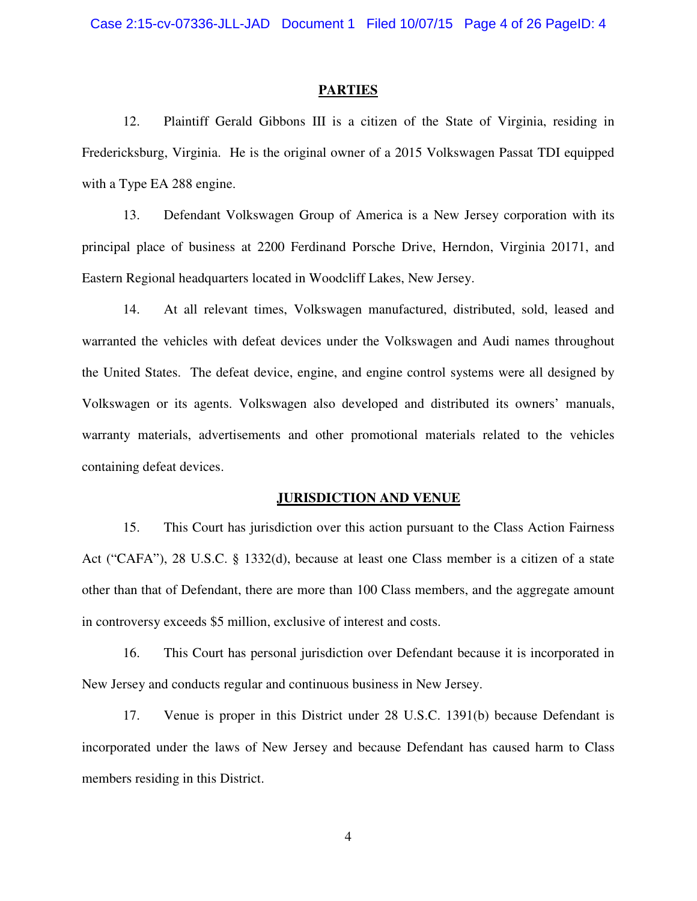#### **PARTIES**

12. Plaintiff Gerald Gibbons III is a citizen of the State of Virginia, residing in Fredericksburg, Virginia. He is the original owner of a 2015 Volkswagen Passat TDI equipped with a Type EA 288 engine.

13. Defendant Volkswagen Group of America is a New Jersey corporation with its principal place of business at 2200 Ferdinand Porsche Drive, Herndon, Virginia 20171, and Eastern Regional headquarters located in Woodcliff Lakes, New Jersey.

14. At all relevant times, Volkswagen manufactured, distributed, sold, leased and warranted the vehicles with defeat devices under the Volkswagen and Audi names throughout the United States. The defeat device, engine, and engine control systems were all designed by Volkswagen or its agents. Volkswagen also developed and distributed its owners' manuals, warranty materials, advertisements and other promotional materials related to the vehicles containing defeat devices.

#### **JURISDICTION AND VENUE**

15. This Court has jurisdiction over this action pursuant to the Class Action Fairness Act ("CAFA"), 28 U.S.C. § 1332(d), because at least one Class member is a citizen of a state other than that of Defendant, there are more than 100 Class members, and the aggregate amount in controversy exceeds \$5 million, exclusive of interest and costs.

16. This Court has personal jurisdiction over Defendant because it is incorporated in New Jersey and conducts regular and continuous business in New Jersey.

17. Venue is proper in this District under 28 U.S.C. 1391(b) because Defendant is incorporated under the laws of New Jersey and because Defendant has caused harm to Class members residing in this District.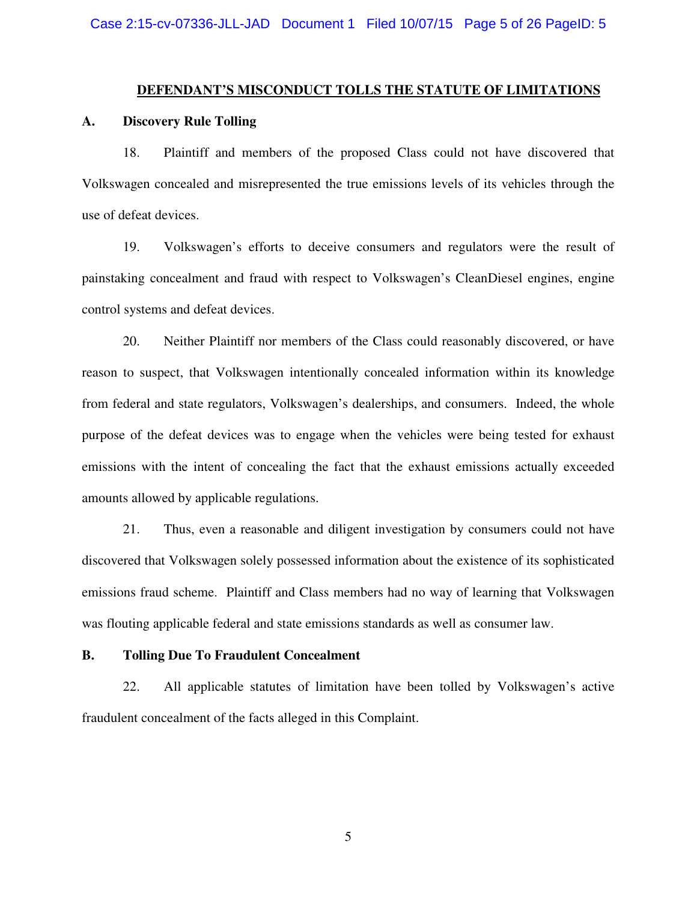#### **DEFENDANT'S MISCONDUCT TOLLS THE STATUTE OF LIMITATIONS**

#### **A. Discovery Rule Tolling**

18. Plaintiff and members of the proposed Class could not have discovered that Volkswagen concealed and misrepresented the true emissions levels of its vehicles through the use of defeat devices.

19. Volkswagen's efforts to deceive consumers and regulators were the result of painstaking concealment and fraud with respect to Volkswagen's CleanDiesel engines, engine control systems and defeat devices.

20. Neither Plaintiff nor members of the Class could reasonably discovered, or have reason to suspect, that Volkswagen intentionally concealed information within its knowledge from federal and state regulators, Volkswagen's dealerships, and consumers. Indeed, the whole purpose of the defeat devices was to engage when the vehicles were being tested for exhaust emissions with the intent of concealing the fact that the exhaust emissions actually exceeded amounts allowed by applicable regulations.

21. Thus, even a reasonable and diligent investigation by consumers could not have discovered that Volkswagen solely possessed information about the existence of its sophisticated emissions fraud scheme. Plaintiff and Class members had no way of learning that Volkswagen was flouting applicable federal and state emissions standards as well as consumer law.

#### **B. Tolling Due To Fraudulent Concealment**

22. All applicable statutes of limitation have been tolled by Volkswagen's active fraudulent concealment of the facts alleged in this Complaint.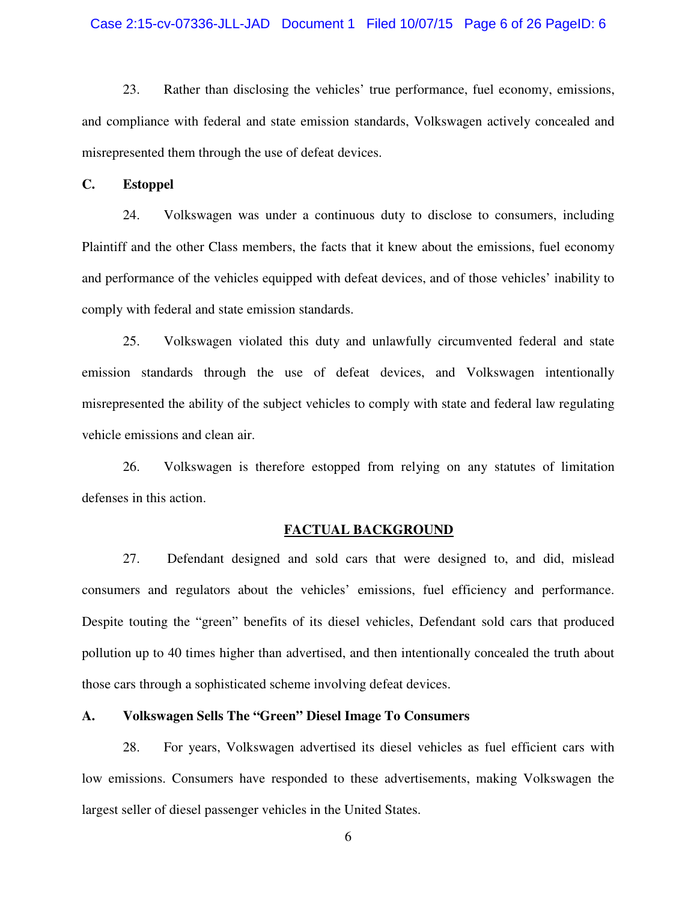#### Case 2:15-cv-07336-JLL-JAD Document 1 Filed 10/07/15 Page 6 of 26 PageID: 6

23. Rather than disclosing the vehicles' true performance, fuel economy, emissions, and compliance with federal and state emission standards, Volkswagen actively concealed and misrepresented them through the use of defeat devices.

**C. Estoppel** 

24. Volkswagen was under a continuous duty to disclose to consumers, including Plaintiff and the other Class members, the facts that it knew about the emissions, fuel economy and performance of the vehicles equipped with defeat devices, and of those vehicles' inability to comply with federal and state emission standards.

25. Volkswagen violated this duty and unlawfully circumvented federal and state emission standards through the use of defeat devices, and Volkswagen intentionally misrepresented the ability of the subject vehicles to comply with state and federal law regulating vehicle emissions and clean air.

26. Volkswagen is therefore estopped from relying on any statutes of limitation defenses in this action.

#### **FACTUAL BACKGROUND**

27. Defendant designed and sold cars that were designed to, and did, mislead consumers and regulators about the vehicles' emissions, fuel efficiency and performance. Despite touting the "green" benefits of its diesel vehicles, Defendant sold cars that produced pollution up to 40 times higher than advertised, and then intentionally concealed the truth about those cars through a sophisticated scheme involving defeat devices.

### **A. Volkswagen Sells The "Green" Diesel Image To Consumers**

28. For years, Volkswagen advertised its diesel vehicles as fuel efficient cars with low emissions. Consumers have responded to these advertisements, making Volkswagen the largest seller of diesel passenger vehicles in the United States.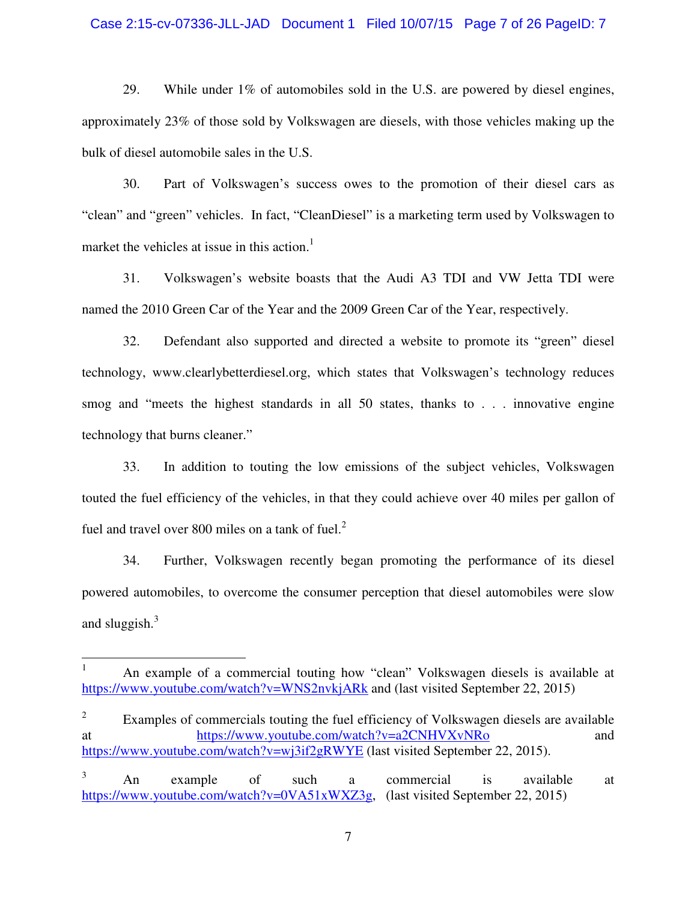#### Case 2:15-cv-07336-JLL-JAD Document 1 Filed 10/07/15 Page 7 of 26 PageID: 7

29. While under 1% of automobiles sold in the U.S. are powered by diesel engines, approximately 23% of those sold by Volkswagen are diesels, with those vehicles making up the bulk of diesel automobile sales in the U.S.

30. Part of Volkswagen's success owes to the promotion of their diesel cars as "clean" and "green" vehicles. In fact, "CleanDiesel" is a marketing term used by Volkswagen to market the vehicles at issue in this action.<sup>1</sup>

31. Volkswagen's website boasts that the Audi A3 TDI and VW Jetta TDI were named the 2010 Green Car of the Year and the 2009 Green Car of the Year, respectively.

32. Defendant also supported and directed a website to promote its "green" diesel technology, www.clearlybetterdiesel.org, which states that Volkswagen's technology reduces smog and "meets the highest standards in all 50 states, thanks to . . . innovative engine technology that burns cleaner."

33. In addition to touting the low emissions of the subject vehicles, Volkswagen touted the fuel efficiency of the vehicles, in that they could achieve over 40 miles per gallon of fuel and travel over 800 miles on a tank of fuel. $2<sup>2</sup>$ 

34. Further, Volkswagen recently began promoting the performance of its diesel powered automobiles, to overcome the consumer perception that diesel automobiles were slow and sluggish. $3$ 

<u>.</u>

<sup>1</sup> An example of a commercial touting how "clean" Volkswagen diesels is available at https://www.youtube.com/watch?v=WNS2nvkjARk and (last visited September 22, 2015)

<sup>2</sup> Examples of commercials touting the fuel efficiency of Volkswagen diesels are available at https://www.youtube.com/watch?v=a2CNHVXvNRo and https://www.youtube.com/watch?v=wj3if2gRWYE (last visited September 22, 2015).

<sup>3</sup> An example of such a commercial is available at https://www.youtube.com/watch?v=0VA51xWXZ3g, (last visited September 22, 2015)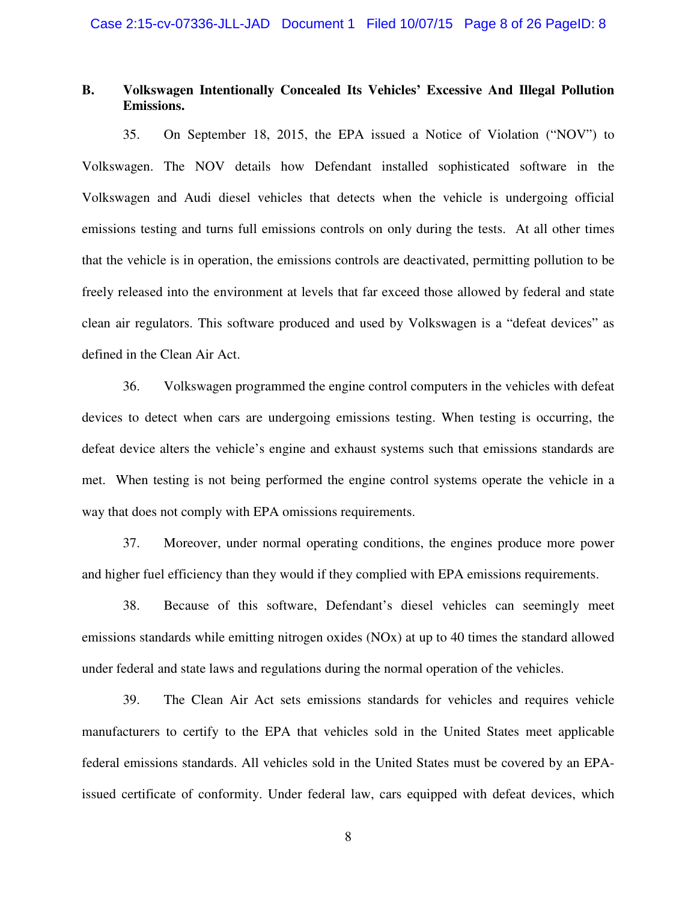### **B. Volkswagen Intentionally Concealed Its Vehicles' Excessive And Illegal Pollution Emissions.**

35. On September 18, 2015, the EPA issued a Notice of Violation ("NOV") to Volkswagen. The NOV details how Defendant installed sophisticated software in the Volkswagen and Audi diesel vehicles that detects when the vehicle is undergoing official emissions testing and turns full emissions controls on only during the tests. At all other times that the vehicle is in operation, the emissions controls are deactivated, permitting pollution to be freely released into the environment at levels that far exceed those allowed by federal and state clean air regulators. This software produced and used by Volkswagen is a "defeat devices" as defined in the Clean Air Act.

36. Volkswagen programmed the engine control computers in the vehicles with defeat devices to detect when cars are undergoing emissions testing. When testing is occurring, the defeat device alters the vehicle's engine and exhaust systems such that emissions standards are met. When testing is not being performed the engine control systems operate the vehicle in a way that does not comply with EPA omissions requirements.

37. Moreover, under normal operating conditions, the engines produce more power and higher fuel efficiency than they would if they complied with EPA emissions requirements.

38. Because of this software, Defendant's diesel vehicles can seemingly meet emissions standards while emitting nitrogen oxides (NOx) at up to 40 times the standard allowed under federal and state laws and regulations during the normal operation of the vehicles.

39. The Clean Air Act sets emissions standards for vehicles and requires vehicle manufacturers to certify to the EPA that vehicles sold in the United States meet applicable federal emissions standards. All vehicles sold in the United States must be covered by an EPAissued certificate of conformity. Under federal law, cars equipped with defeat devices, which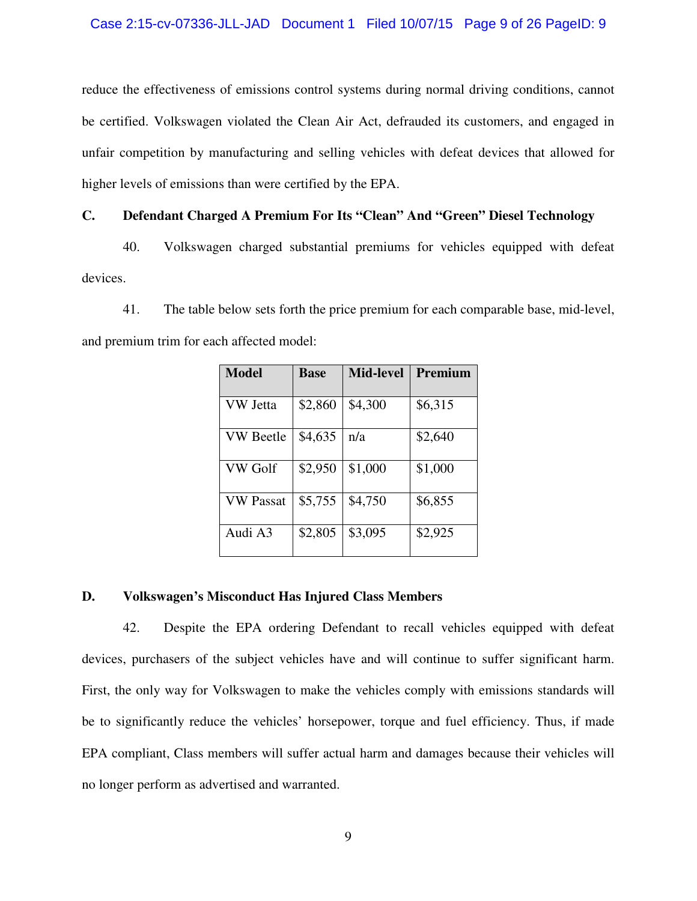### Case 2:15-cv-07336-JLL-JAD Document 1 Filed 10/07/15 Page 9 of 26 PageID: 9

reduce the effectiveness of emissions control systems during normal driving conditions, cannot be certified. Volkswagen violated the Clean Air Act, defrauded its customers, and engaged in unfair competition by manufacturing and selling vehicles with defeat devices that allowed for higher levels of emissions than were certified by the EPA.

### **C. Defendant Charged A Premium For Its "Clean" And "Green" Diesel Technology**

40. Volkswagen charged substantial premiums for vehicles equipped with defeat devices.

41. The table below sets forth the price premium for each comparable base, mid-level, and premium trim for each affected model:

| <b>Model</b>     | <b>Base</b> | <b>Mid-level</b> | Premium |
|------------------|-------------|------------------|---------|
| VW Jetta         | \$2,860     | \$4,300          | \$6,315 |
| <b>VW Beetle</b> | \$4,635     | n/a              | \$2,640 |
| VW Golf          | \$2,950     | \$1,000          | \$1,000 |
| VW Passat        | \$5,755     | \$4,750          | \$6,855 |
| Audi A3          | \$2,805     | \$3,095          | \$2,925 |

### **D. Volkswagen's Misconduct Has Injured Class Members**

42. Despite the EPA ordering Defendant to recall vehicles equipped with defeat devices, purchasers of the subject vehicles have and will continue to suffer significant harm. First, the only way for Volkswagen to make the vehicles comply with emissions standards will be to significantly reduce the vehicles' horsepower, torque and fuel efficiency. Thus, if made EPA compliant, Class members will suffer actual harm and damages because their vehicles will no longer perform as advertised and warranted.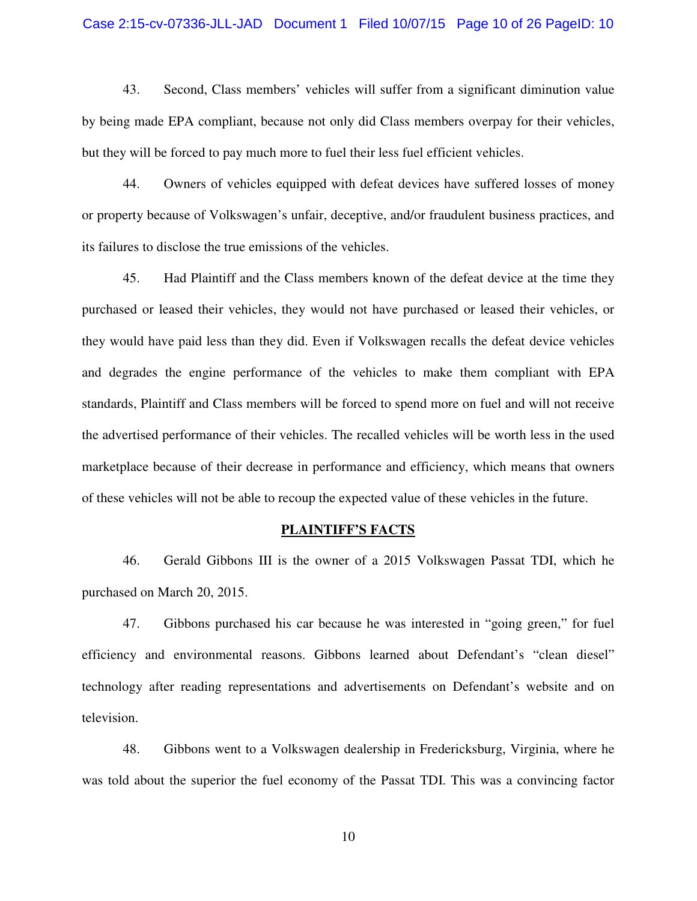#### Case 2:15-cv-07336-JLL-JAD Document 1 Filed 10/07/15 Page 10 of 26 PageID: 10

43. Second, Class members' vehicles will suffer from a significant diminution value by being made EPA compliant, because not only did Class members overpay for their vehicles, but they will be forced to pay much more to fuel their less fuel efficient vehicles.

44. Owners of vehicles equipped with defeat devices have suffered losses of money or property because of Volkswagen's unfair, deceptive, and/or fraudulent business practices, and its failures to disclose the true emissions of the vehicles.

45. Had Plaintiff and the Class members known of the defeat device at the time they purchased or leased their vehicles, they would not have purchased or leased their vehicles, or they would have paid less than they did. Even if Volkswagen recalls the defeat device vehicles and degrades the engine performance of the vehicles to make them compliant with EPA standards, Plaintiff and Class members will be forced to spend more on fuel and will not receive the advertised performance of their vehicles. The recalled vehicles will be worth less in the used marketplace because of their decrease in performance and efficiency, which means that owners of these vehicles will not be able to recoup the expected value of these vehicles in the future.

#### **PLAINTIFF'S FACTS**

46. Gerald Gibbons III is the owner of a 2015 Volkswagen Passat TDI, which he purchased on March 20, 2015.

47. Gibbons purchased his car because he was interested in "going green," for fuel efficiency and environmental reasons. Gibbons learned about Defendant's "clean diesel" technology after reading representations and advertisements on Defendant's website and on television.

48. Gibbons went to a Volkswagen dealership in Fredericksburg, Virginia, where he was told about the superior the fuel economy of the Passat TDI. This was a convincing factor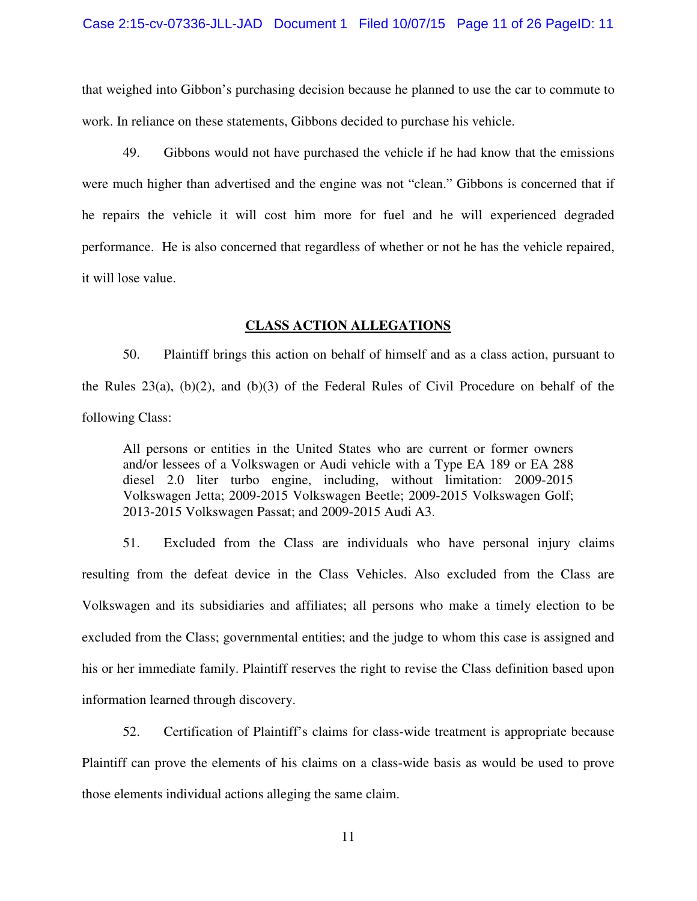that weighed into Gibbon's purchasing decision because he planned to use the car to commute to work. In reliance on these statements, Gibbons decided to purchase his vehicle.

49. Gibbons would not have purchased the vehicle if he had know that the emissions were much higher than advertised and the engine was not "clean." Gibbons is concerned that if he repairs the vehicle it will cost him more for fuel and he will experienced degraded performance. He is also concerned that regardless of whether or not he has the vehicle repaired, it will lose value.

### **CLASS ACTION ALLEGATIONS**

50. Plaintiff brings this action on behalf of himself and as a class action, pursuant to the Rules 23(a), (b)(2), and (b)(3) of the Federal Rules of Civil Procedure on behalf of the following Class:

All persons or entities in the United States who are current or former owners and/or lessees of a Volkswagen or Audi vehicle with a Type EA 189 or EA 288 diesel 2.0 liter turbo engine, including, without limitation: 2009-2015 Volkswagen Jetta; 2009-2015 Volkswagen Beetle; 2009-2015 Volkswagen Golf; 2013-2015 Volkswagen Passat; and 2009-2015 Audi A3.

51. Excluded from the Class are individuals who have personal injury claims resulting from the defeat device in the Class Vehicles. Also excluded from the Class are Volkswagen and its subsidiaries and affiliates; all persons who make a timely election to be excluded from the Class; governmental entities; and the judge to whom this case is assigned and his or her immediate family. Plaintiff reserves the right to revise the Class definition based upon information learned through discovery.

52. Certification of Plaintiff's claims for class-wide treatment is appropriate because Plaintiff can prove the elements of his claims on a class-wide basis as would be used to prove those elements individual actions alleging the same claim.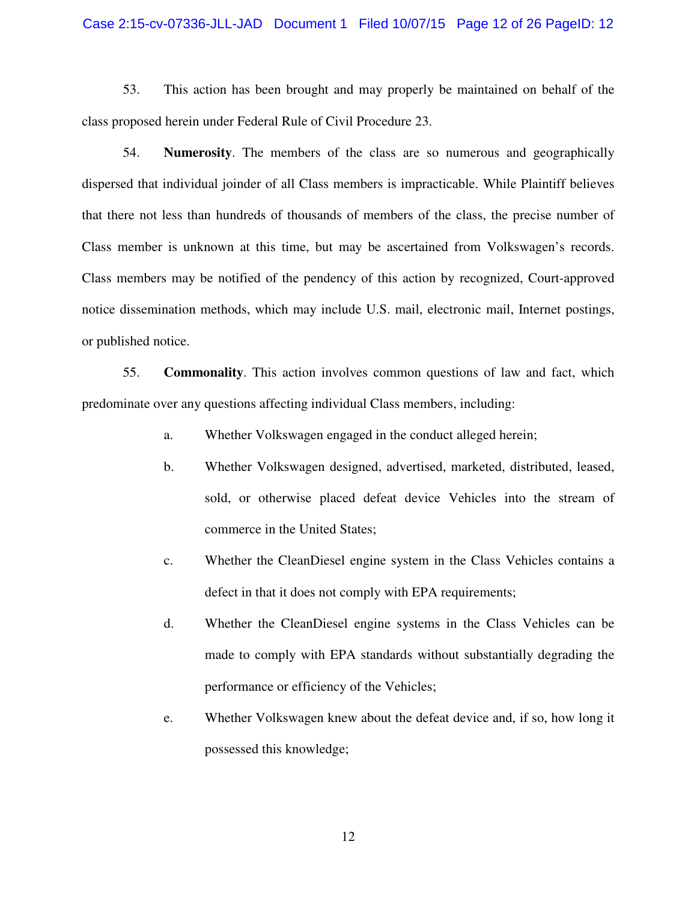#### Case 2:15-cv-07336-JLL-JAD Document 1 Filed 10/07/15 Page 12 of 26 PageID: 12

53. This action has been brought and may properly be maintained on behalf of the class proposed herein under Federal Rule of Civil Procedure 23.

54. **Numerosity**. The members of the class are so numerous and geographically dispersed that individual joinder of all Class members is impracticable. While Plaintiff believes that there not less than hundreds of thousands of members of the class, the precise number of Class member is unknown at this time, but may be ascertained from Volkswagen's records. Class members may be notified of the pendency of this action by recognized, Court-approved notice dissemination methods, which may include U.S. mail, electronic mail, Internet postings, or published notice.

55. **Commonality**. This action involves common questions of law and fact, which predominate over any questions affecting individual Class members, including:

- a. Whether Volkswagen engaged in the conduct alleged herein;
- b. Whether Volkswagen designed, advertised, marketed, distributed, leased, sold, or otherwise placed defeat device Vehicles into the stream of commerce in the United States;
- c. Whether the CleanDiesel engine system in the Class Vehicles contains a defect in that it does not comply with EPA requirements;
- d. Whether the CleanDiesel engine systems in the Class Vehicles can be made to comply with EPA standards without substantially degrading the performance or efficiency of the Vehicles;
- e. Whether Volkswagen knew about the defeat device and, if so, how long it possessed this knowledge;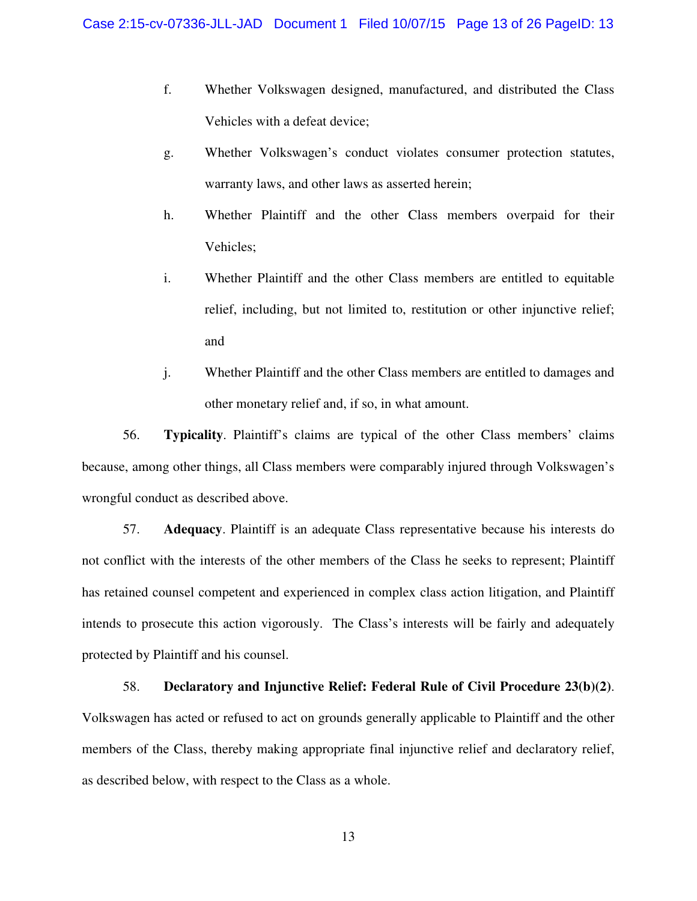- f. Whether Volkswagen designed, manufactured, and distributed the Class Vehicles with a defeat device;
- g. Whether Volkswagen's conduct violates consumer protection statutes, warranty laws, and other laws as asserted herein;
- h. Whether Plaintiff and the other Class members overpaid for their Vehicles;
- i. Whether Plaintiff and the other Class members are entitled to equitable relief, including, but not limited to, restitution or other injunctive relief; and
- j. Whether Plaintiff and the other Class members are entitled to damages and other monetary relief and, if so, in what amount.

56. **Typicality**. Plaintiff's claims are typical of the other Class members' claims because, among other things, all Class members were comparably injured through Volkswagen's wrongful conduct as described above.

57. **Adequacy**. Plaintiff is an adequate Class representative because his interests do not conflict with the interests of the other members of the Class he seeks to represent; Plaintiff has retained counsel competent and experienced in complex class action litigation, and Plaintiff intends to prosecute this action vigorously. The Class's interests will be fairly and adequately protected by Plaintiff and his counsel.

58. **Declaratory and Injunctive Relief: Federal Rule of Civil Procedure 23(b)(2)**. Volkswagen has acted or refused to act on grounds generally applicable to Plaintiff and the other members of the Class, thereby making appropriate final injunctive relief and declaratory relief, as described below, with respect to the Class as a whole.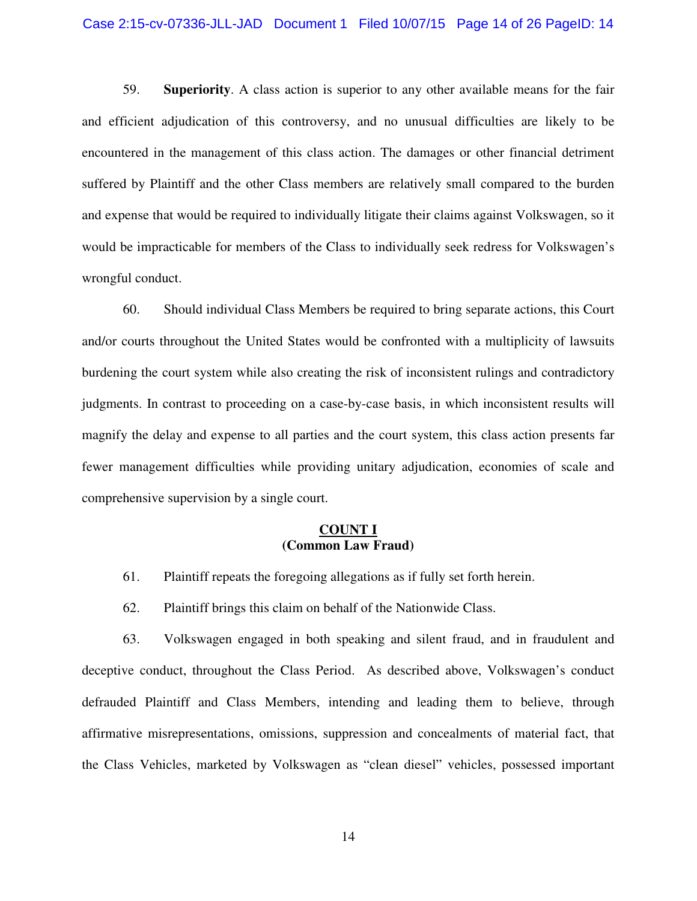#### Case 2:15-cv-07336-JLL-JAD Document 1 Filed 10/07/15 Page 14 of 26 PageID: 14

59. **Superiority**. A class action is superior to any other available means for the fair and efficient adjudication of this controversy, and no unusual difficulties are likely to be encountered in the management of this class action. The damages or other financial detriment suffered by Plaintiff and the other Class members are relatively small compared to the burden and expense that would be required to individually litigate their claims against Volkswagen, so it would be impracticable for members of the Class to individually seek redress for Volkswagen's wrongful conduct.

60. Should individual Class Members be required to bring separate actions, this Court and/or courts throughout the United States would be confronted with a multiplicity of lawsuits burdening the court system while also creating the risk of inconsistent rulings and contradictory judgments. In contrast to proceeding on a case-by-case basis, in which inconsistent results will magnify the delay and expense to all parties and the court system, this class action presents far fewer management difficulties while providing unitary adjudication, economies of scale and comprehensive supervision by a single court.

#### **COUNT I (Common Law Fraud)**

- 61. Plaintiff repeats the foregoing allegations as if fully set forth herein.
- 62. Plaintiff brings this claim on behalf of the Nationwide Class.

63. Volkswagen engaged in both speaking and silent fraud, and in fraudulent and deceptive conduct, throughout the Class Period. As described above, Volkswagen's conduct defrauded Plaintiff and Class Members, intending and leading them to believe, through affirmative misrepresentations, omissions, suppression and concealments of material fact, that the Class Vehicles, marketed by Volkswagen as "clean diesel" vehicles, possessed important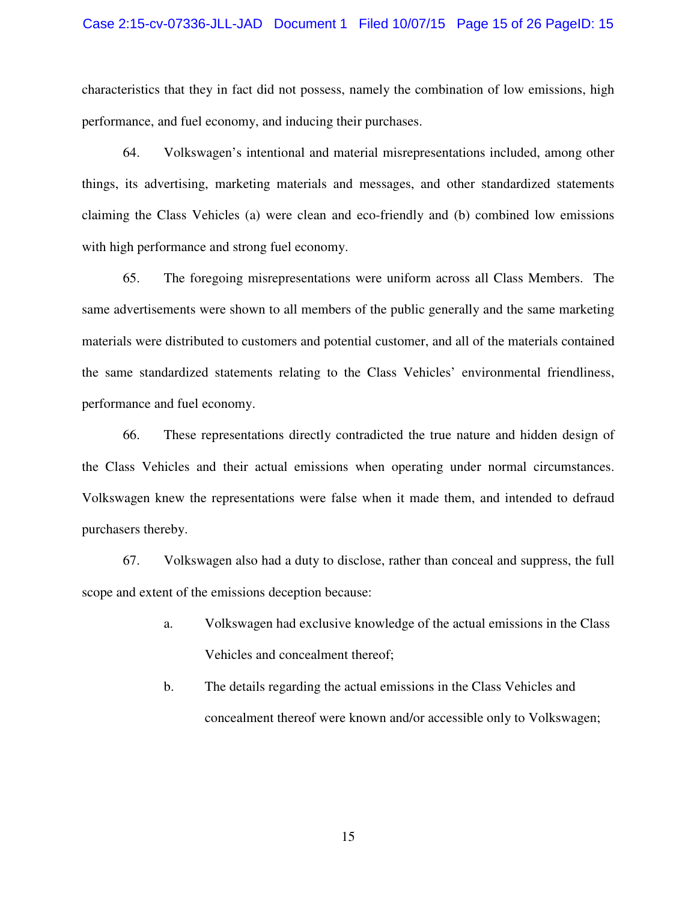#### Case 2:15-cv-07336-JLL-JAD Document 1 Filed 10/07/15 Page 15 of 26 PageID: 15

characteristics that they in fact did not possess, namely the combination of low emissions, high performance, and fuel economy, and inducing their purchases.

64. Volkswagen's intentional and material misrepresentations included, among other things, its advertising, marketing materials and messages, and other standardized statements claiming the Class Vehicles (a) were clean and eco-friendly and (b) combined low emissions with high performance and strong fuel economy.

65. The foregoing misrepresentations were uniform across all Class Members. The same advertisements were shown to all members of the public generally and the same marketing materials were distributed to customers and potential customer, and all of the materials contained the same standardized statements relating to the Class Vehicles' environmental friendliness, performance and fuel economy.

66. These representations directly contradicted the true nature and hidden design of the Class Vehicles and their actual emissions when operating under normal circumstances. Volkswagen knew the representations were false when it made them, and intended to defraud purchasers thereby.

67. Volkswagen also had a duty to disclose, rather than conceal and suppress, the full scope and extent of the emissions deception because:

- a. Volkswagen had exclusive knowledge of the actual emissions in the Class Vehicles and concealment thereof;
- b. The details regarding the actual emissions in the Class Vehicles and concealment thereof were known and/or accessible only to Volkswagen;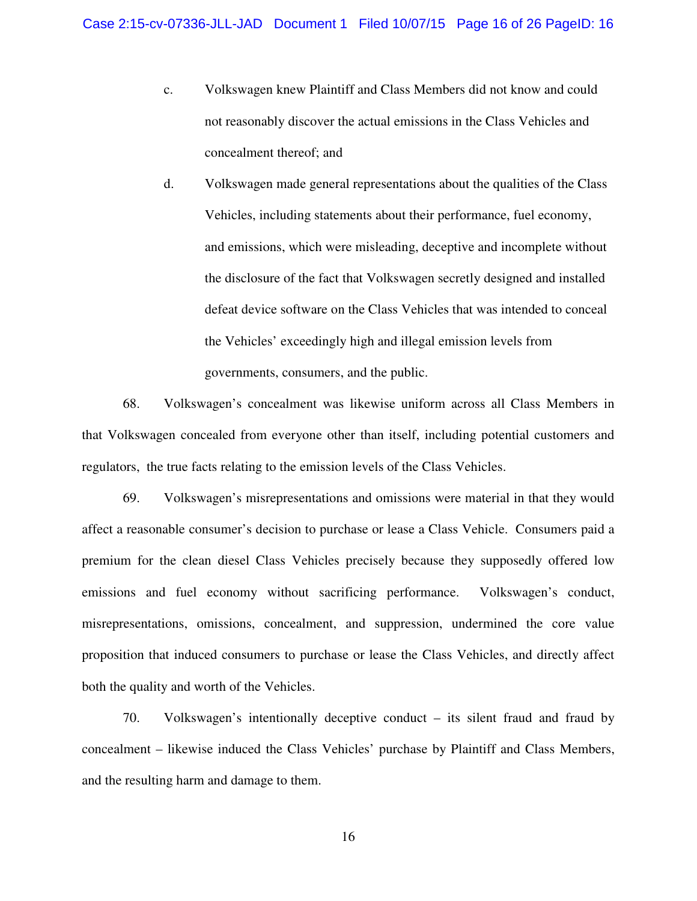- c. Volkswagen knew Plaintiff and Class Members did not know and could not reasonably discover the actual emissions in the Class Vehicles and concealment thereof; and
- d. Volkswagen made general representations about the qualities of the Class Vehicles, including statements about their performance, fuel economy, and emissions, which were misleading, deceptive and incomplete without the disclosure of the fact that Volkswagen secretly designed and installed defeat device software on the Class Vehicles that was intended to conceal the Vehicles' exceedingly high and illegal emission levels from governments, consumers, and the public.

68. Volkswagen's concealment was likewise uniform across all Class Members in that Volkswagen concealed from everyone other than itself, including potential customers and regulators, the true facts relating to the emission levels of the Class Vehicles.

69. Volkswagen's misrepresentations and omissions were material in that they would affect a reasonable consumer's decision to purchase or lease a Class Vehicle. Consumers paid a premium for the clean diesel Class Vehicles precisely because they supposedly offered low emissions and fuel economy without sacrificing performance. Volkswagen's conduct, misrepresentations, omissions, concealment, and suppression, undermined the core value proposition that induced consumers to purchase or lease the Class Vehicles, and directly affect both the quality and worth of the Vehicles.

70. Volkswagen's intentionally deceptive conduct – its silent fraud and fraud by concealment – likewise induced the Class Vehicles' purchase by Plaintiff and Class Members, and the resulting harm and damage to them.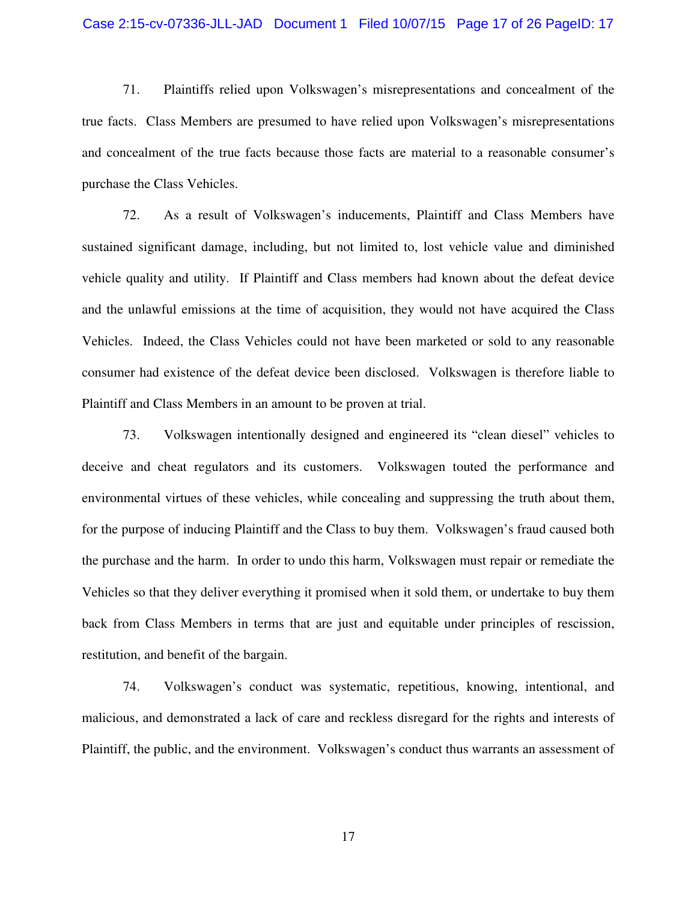#### Case 2:15-cv-07336-JLL-JAD Document 1 Filed 10/07/15 Page 17 of 26 PageID: 17

71. Plaintiffs relied upon Volkswagen's misrepresentations and concealment of the true facts. Class Members are presumed to have relied upon Volkswagen's misrepresentations and concealment of the true facts because those facts are material to a reasonable consumer's purchase the Class Vehicles.

72. As a result of Volkswagen's inducements, Plaintiff and Class Members have sustained significant damage, including, but not limited to, lost vehicle value and diminished vehicle quality and utility. If Plaintiff and Class members had known about the defeat device and the unlawful emissions at the time of acquisition, they would not have acquired the Class Vehicles. Indeed, the Class Vehicles could not have been marketed or sold to any reasonable consumer had existence of the defeat device been disclosed. Volkswagen is therefore liable to Plaintiff and Class Members in an amount to be proven at trial.

73. Volkswagen intentionally designed and engineered its "clean diesel" vehicles to deceive and cheat regulators and its customers. Volkswagen touted the performance and environmental virtues of these vehicles, while concealing and suppressing the truth about them, for the purpose of inducing Plaintiff and the Class to buy them. Volkswagen's fraud caused both the purchase and the harm. In order to undo this harm, Volkswagen must repair or remediate the Vehicles so that they deliver everything it promised when it sold them, or undertake to buy them back from Class Members in terms that are just and equitable under principles of rescission, restitution, and benefit of the bargain.

74. Volkswagen's conduct was systematic, repetitious, knowing, intentional, and malicious, and demonstrated a lack of care and reckless disregard for the rights and interests of Plaintiff, the public, and the environment. Volkswagen's conduct thus warrants an assessment of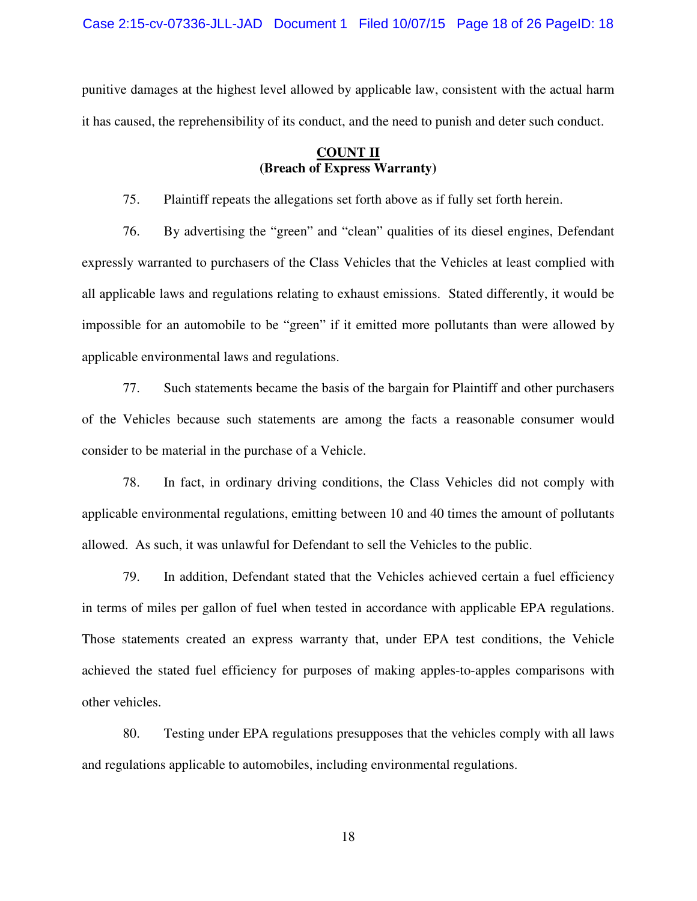Case 2:15-cv-07336-JLL-JAD Document 1 Filed 10/07/15 Page 18 of 26 PageID: 18

punitive damages at the highest level allowed by applicable law, consistent with the actual harm it has caused, the reprehensibility of its conduct, and the need to punish and deter such conduct.

### **COUNT II (Breach of Express Warranty)**

75. Plaintiff repeats the allegations set forth above as if fully set forth herein.

76. By advertising the "green" and "clean" qualities of its diesel engines, Defendant expressly warranted to purchasers of the Class Vehicles that the Vehicles at least complied with all applicable laws and regulations relating to exhaust emissions. Stated differently, it would be impossible for an automobile to be "green" if it emitted more pollutants than were allowed by applicable environmental laws and regulations.

77. Such statements became the basis of the bargain for Plaintiff and other purchasers of the Vehicles because such statements are among the facts a reasonable consumer would consider to be material in the purchase of a Vehicle.

78. In fact, in ordinary driving conditions, the Class Vehicles did not comply with applicable environmental regulations, emitting between 10 and 40 times the amount of pollutants allowed. As such, it was unlawful for Defendant to sell the Vehicles to the public.

79. In addition, Defendant stated that the Vehicles achieved certain a fuel efficiency in terms of miles per gallon of fuel when tested in accordance with applicable EPA regulations. Those statements created an express warranty that, under EPA test conditions, the Vehicle achieved the stated fuel efficiency for purposes of making apples-to-apples comparisons with other vehicles.

80. Testing under EPA regulations presupposes that the vehicles comply with all laws and regulations applicable to automobiles, including environmental regulations.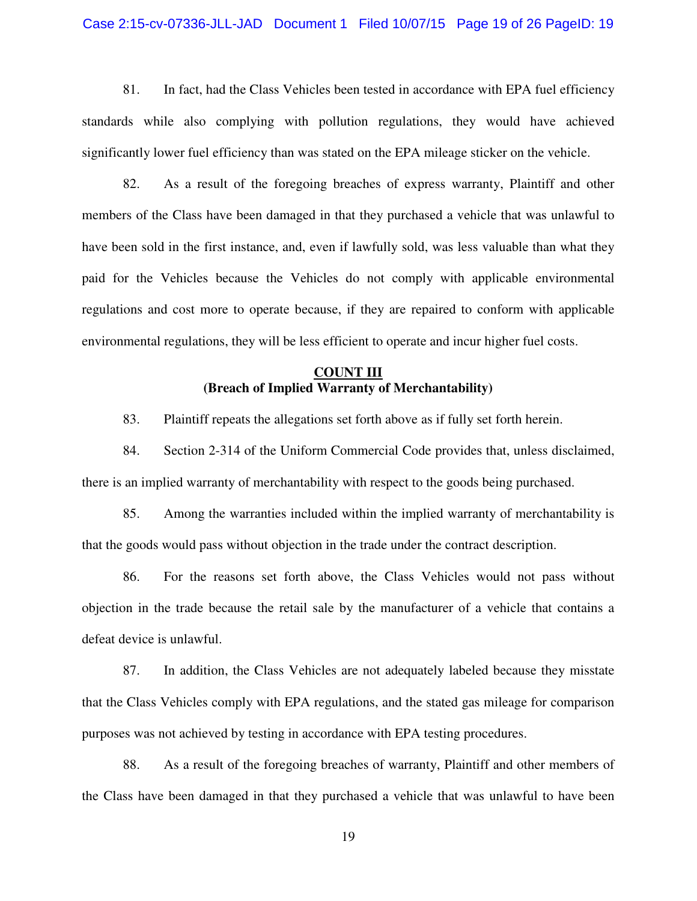#### Case 2:15-cv-07336-JLL-JAD Document 1 Filed 10/07/15 Page 19 of 26 PageID: 19

81. In fact, had the Class Vehicles been tested in accordance with EPA fuel efficiency standards while also complying with pollution regulations, they would have achieved significantly lower fuel efficiency than was stated on the EPA mileage sticker on the vehicle.

82. As a result of the foregoing breaches of express warranty, Plaintiff and other members of the Class have been damaged in that they purchased a vehicle that was unlawful to have been sold in the first instance, and, even if lawfully sold, was less valuable than what they paid for the Vehicles because the Vehicles do not comply with applicable environmental regulations and cost more to operate because, if they are repaired to conform with applicable environmental regulations, they will be less efficient to operate and incur higher fuel costs.

### **COUNT III (Breach of Implied Warranty of Merchantability)**

83. Plaintiff repeats the allegations set forth above as if fully set forth herein.

84. Section 2-314 of the Uniform Commercial Code provides that, unless disclaimed, there is an implied warranty of merchantability with respect to the goods being purchased.

85. Among the warranties included within the implied warranty of merchantability is that the goods would pass without objection in the trade under the contract description.

86. For the reasons set forth above, the Class Vehicles would not pass without objection in the trade because the retail sale by the manufacturer of a vehicle that contains a defeat device is unlawful.

87. In addition, the Class Vehicles are not adequately labeled because they misstate that the Class Vehicles comply with EPA regulations, and the stated gas mileage for comparison purposes was not achieved by testing in accordance with EPA testing procedures.

88. As a result of the foregoing breaches of warranty, Plaintiff and other members of the Class have been damaged in that they purchased a vehicle that was unlawful to have been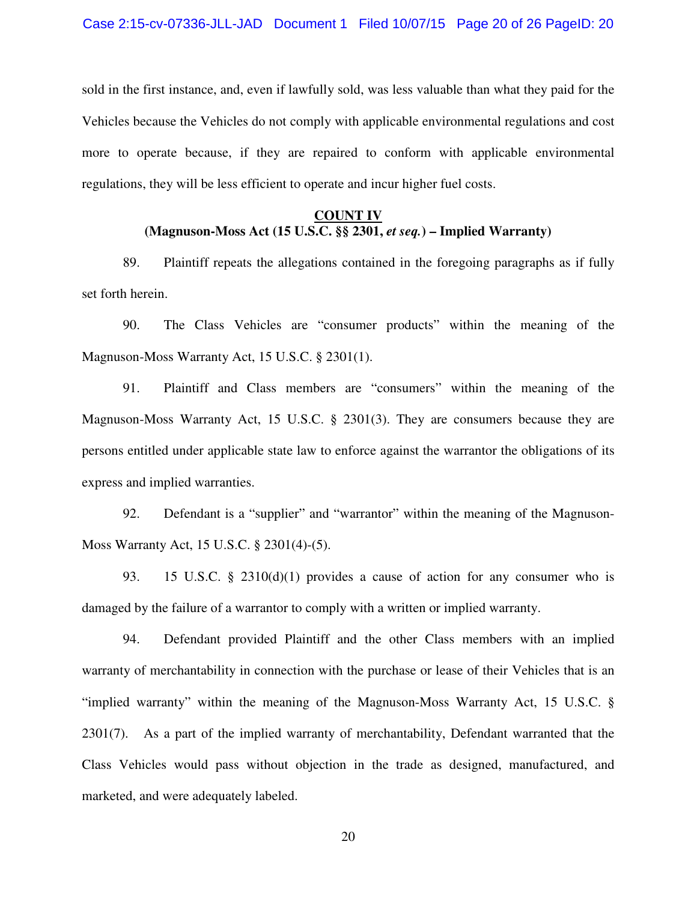sold in the first instance, and, even if lawfully sold, was less valuable than what they paid for the Vehicles because the Vehicles do not comply with applicable environmental regulations and cost more to operate because, if they are repaired to conform with applicable environmental regulations, they will be less efficient to operate and incur higher fuel costs.

### **COUNT IV (Magnuson-Moss Act (15 U.S.C. §§ 2301,** *et seq.***) – Implied Warranty)**

89. Plaintiff repeats the allegations contained in the foregoing paragraphs as if fully set forth herein.

90. The Class Vehicles are "consumer products" within the meaning of the Magnuson-Moss Warranty Act, 15 U.S.C. § 2301(1).

91. Plaintiff and Class members are "consumers" within the meaning of the Magnuson-Moss Warranty Act, 15 U.S.C. § 2301(3). They are consumers because they are persons entitled under applicable state law to enforce against the warrantor the obligations of its express and implied warranties.

92. Defendant is a "supplier" and "warrantor" within the meaning of the Magnuson-Moss Warranty Act, 15 U.S.C. § 2301(4)-(5).

93. 15 U.S.C. § 2310(d)(1) provides a cause of action for any consumer who is damaged by the failure of a warrantor to comply with a written or implied warranty.

94. Defendant provided Plaintiff and the other Class members with an implied warranty of merchantability in connection with the purchase or lease of their Vehicles that is an "implied warranty" within the meaning of the Magnuson-Moss Warranty Act, 15 U.S.C. § 2301(7). As a part of the implied warranty of merchantability, Defendant warranted that the Class Vehicles would pass without objection in the trade as designed, manufactured, and marketed, and were adequately labeled.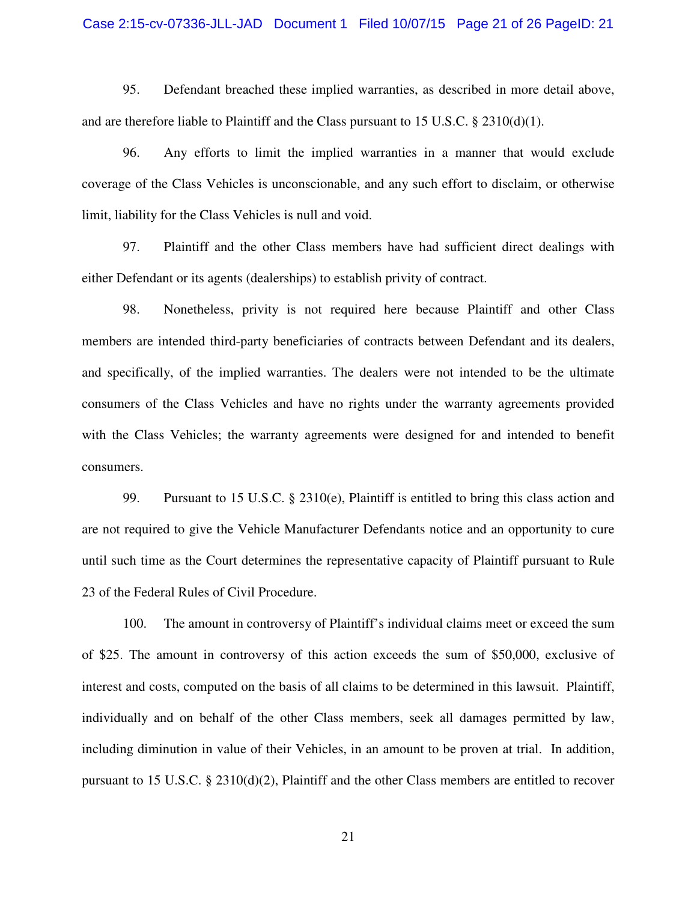#### Case 2:15-cv-07336-JLL-JAD Document 1 Filed 10/07/15 Page 21 of 26 PageID: 21

95. Defendant breached these implied warranties, as described in more detail above, and are therefore liable to Plaintiff and the Class pursuant to 15 U.S.C.  $\S$  2310(d)(1).

96. Any efforts to limit the implied warranties in a manner that would exclude coverage of the Class Vehicles is unconscionable, and any such effort to disclaim, or otherwise limit, liability for the Class Vehicles is null and void.

97. Plaintiff and the other Class members have had sufficient direct dealings with either Defendant or its agents (dealerships) to establish privity of contract.

98. Nonetheless, privity is not required here because Plaintiff and other Class members are intended third-party beneficiaries of contracts between Defendant and its dealers, and specifically, of the implied warranties. The dealers were not intended to be the ultimate consumers of the Class Vehicles and have no rights under the warranty agreements provided with the Class Vehicles; the warranty agreements were designed for and intended to benefit consumers.

99. Pursuant to 15 U.S.C. § 2310(e), Plaintiff is entitled to bring this class action and are not required to give the Vehicle Manufacturer Defendants notice and an opportunity to cure until such time as the Court determines the representative capacity of Plaintiff pursuant to Rule 23 of the Federal Rules of Civil Procedure.

100. The amount in controversy of Plaintiff's individual claims meet or exceed the sum of \$25. The amount in controversy of this action exceeds the sum of \$50,000, exclusive of interest and costs, computed on the basis of all claims to be determined in this lawsuit. Plaintiff, individually and on behalf of the other Class members, seek all damages permitted by law, including diminution in value of their Vehicles, in an amount to be proven at trial. In addition, pursuant to 15 U.S.C. § 2310(d)(2), Plaintiff and the other Class members are entitled to recover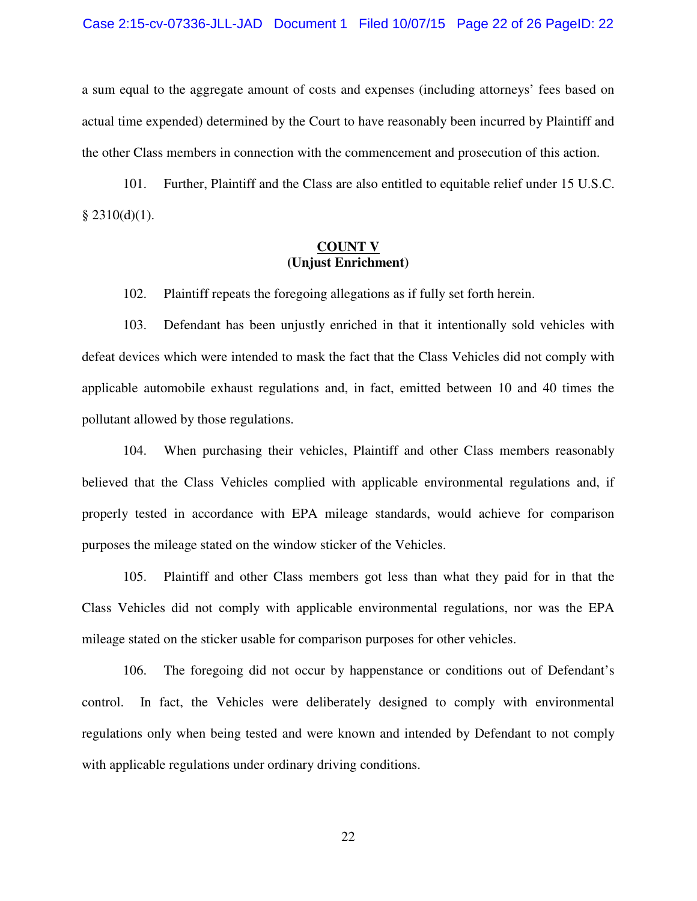#### Case 2:15-cv-07336-JLL-JAD Document 1 Filed 10/07/15 Page 22 of 26 PageID: 22

a sum equal to the aggregate amount of costs and expenses (including attorneys' fees based on actual time expended) determined by the Court to have reasonably been incurred by Plaintiff and the other Class members in connection with the commencement and prosecution of this action.

101. Further, Plaintiff and the Class are also entitled to equitable relief under 15 U.S.C.  $§$  2310(d)(1).

### **COUNT V (Unjust Enrichment)**

102. Plaintiff repeats the foregoing allegations as if fully set forth herein.

103. Defendant has been unjustly enriched in that it intentionally sold vehicles with defeat devices which were intended to mask the fact that the Class Vehicles did not comply with applicable automobile exhaust regulations and, in fact, emitted between 10 and 40 times the pollutant allowed by those regulations.

104. When purchasing their vehicles, Plaintiff and other Class members reasonably believed that the Class Vehicles complied with applicable environmental regulations and, if properly tested in accordance with EPA mileage standards, would achieve for comparison purposes the mileage stated on the window sticker of the Vehicles.

105. Plaintiff and other Class members got less than what they paid for in that the Class Vehicles did not comply with applicable environmental regulations, nor was the EPA mileage stated on the sticker usable for comparison purposes for other vehicles.

106. The foregoing did not occur by happenstance or conditions out of Defendant's control. In fact, the Vehicles were deliberately designed to comply with environmental regulations only when being tested and were known and intended by Defendant to not comply with applicable regulations under ordinary driving conditions.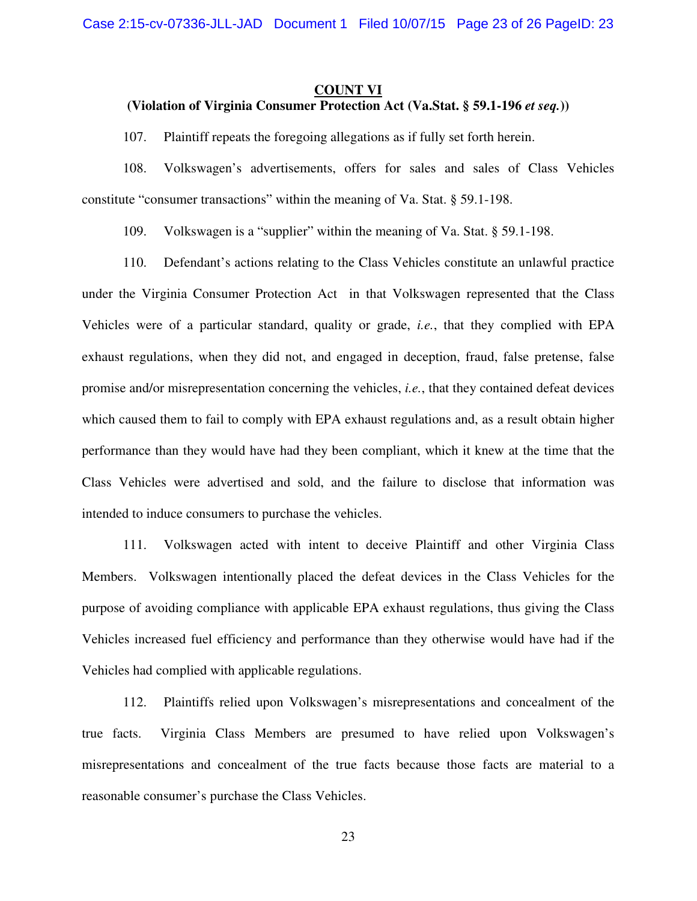#### **COUNT VI**

### **(Violation of Virginia Consumer Protection Act (Va.Stat. § 59.1-196** *et seq.***))**

107. Plaintiff repeats the foregoing allegations as if fully set forth herein.

108. Volkswagen's advertisements, offers for sales and sales of Class Vehicles constitute "consumer transactions" within the meaning of Va. Stat. § 59.1-198.

109. Volkswagen is a "supplier" within the meaning of Va. Stat. § 59.1-198.

110. Defendant's actions relating to the Class Vehicles constitute an unlawful practice under the Virginia Consumer Protection Act in that Volkswagen represented that the Class Vehicles were of a particular standard, quality or grade, *i.e.*, that they complied with EPA exhaust regulations, when they did not, and engaged in deception, fraud, false pretense, false promise and/or misrepresentation concerning the vehicles, *i.e.*, that they contained defeat devices which caused them to fail to comply with EPA exhaust regulations and, as a result obtain higher performance than they would have had they been compliant, which it knew at the time that the Class Vehicles were advertised and sold, and the failure to disclose that information was intended to induce consumers to purchase the vehicles.

111. Volkswagen acted with intent to deceive Plaintiff and other Virginia Class Members. Volkswagen intentionally placed the defeat devices in the Class Vehicles for the purpose of avoiding compliance with applicable EPA exhaust regulations, thus giving the Class Vehicles increased fuel efficiency and performance than they otherwise would have had if the Vehicles had complied with applicable regulations.

112. Plaintiffs relied upon Volkswagen's misrepresentations and concealment of the true facts. Virginia Class Members are presumed to have relied upon Volkswagen's misrepresentations and concealment of the true facts because those facts are material to a reasonable consumer's purchase the Class Vehicles.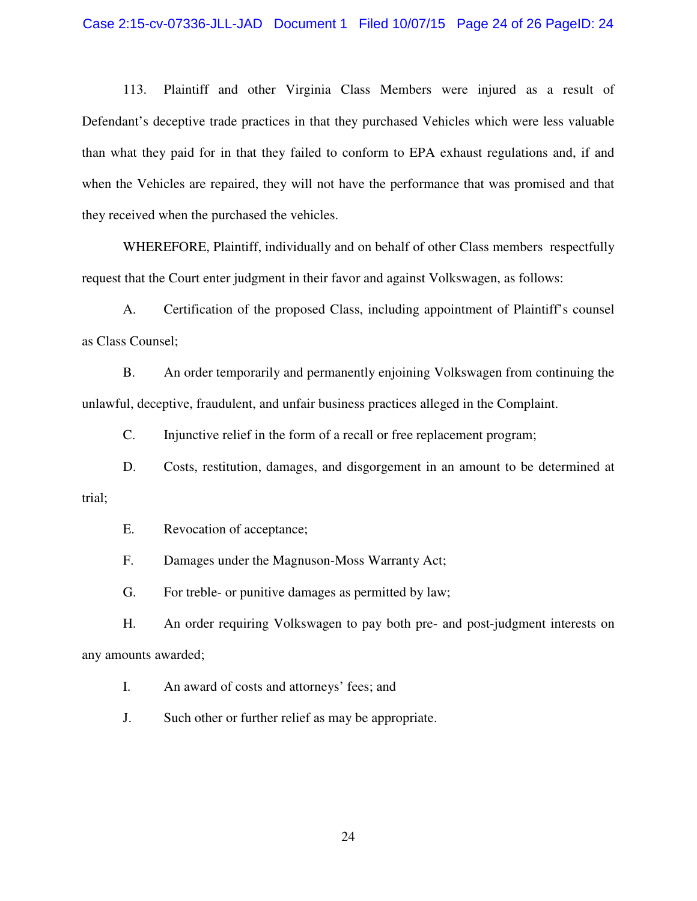#### Case 2:15-cv-07336-JLL-JAD Document 1 Filed 10/07/15 Page 24 of 26 PageID: 24

113. Plaintiff and other Virginia Class Members were injured as a result of Defendant's deceptive trade practices in that they purchased Vehicles which were less valuable than what they paid for in that they failed to conform to EPA exhaust regulations and, if and when the Vehicles are repaired, they will not have the performance that was promised and that they received when the purchased the vehicles.

WHEREFORE, Plaintiff, individually and on behalf of other Class members respectfully request that the Court enter judgment in their favor and against Volkswagen, as follows:

A. Certification of the proposed Class, including appointment of Plaintiff's counsel as Class Counsel;

B. An order temporarily and permanently enjoining Volkswagen from continuing the unlawful, deceptive, fraudulent, and unfair business practices alleged in the Complaint.

C. Injunctive relief in the form of a recall or free replacement program;

D. Costs, restitution, damages, and disgorgement in an amount to be determined at trial;

E. Revocation of acceptance;

F. Damages under the Magnuson-Moss Warranty Act;

G. For treble- or punitive damages as permitted by law;

H. An order requiring Volkswagen to pay both pre- and post-judgment interests on any amounts awarded;

I. An award of costs and attorneys' fees; and

J. Such other or further relief as may be appropriate.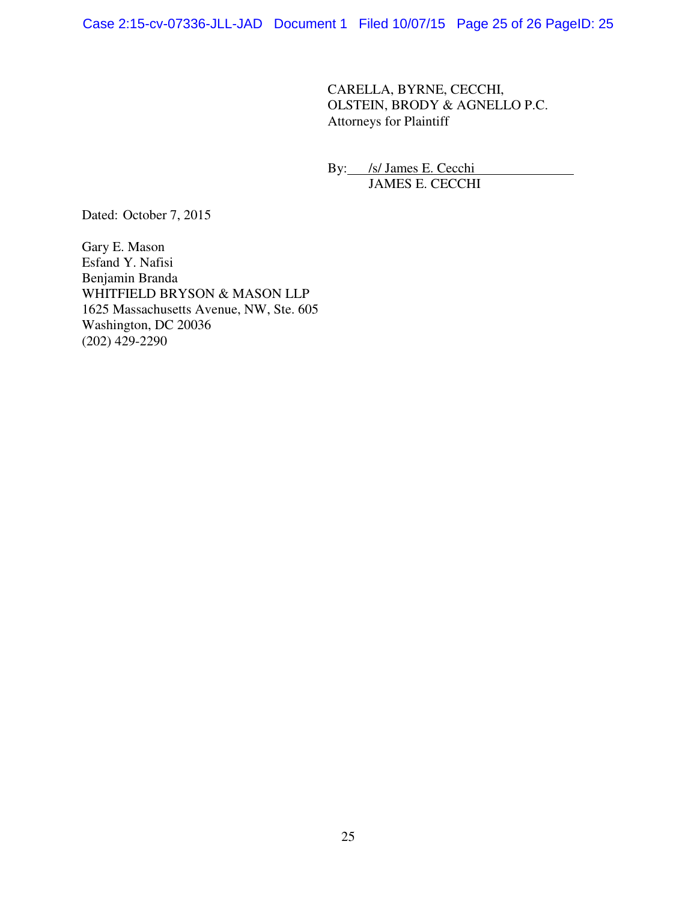CARELLA, BYRNE, CECCHI, OLSTEIN, BRODY & AGNELLO P.C. Attorneys for Plaintiff

By: /s/ James E. Cecchi JAMES E. CECCHI

Dated: October 7, 2015

Gary E. Mason Esfand Y. Nafisi Benjamin Branda WHITFIELD BRYSON & MASON LLP 1625 Massachusetts Avenue, NW, Ste. 605 Washington, DC 20036 (202) 429-2290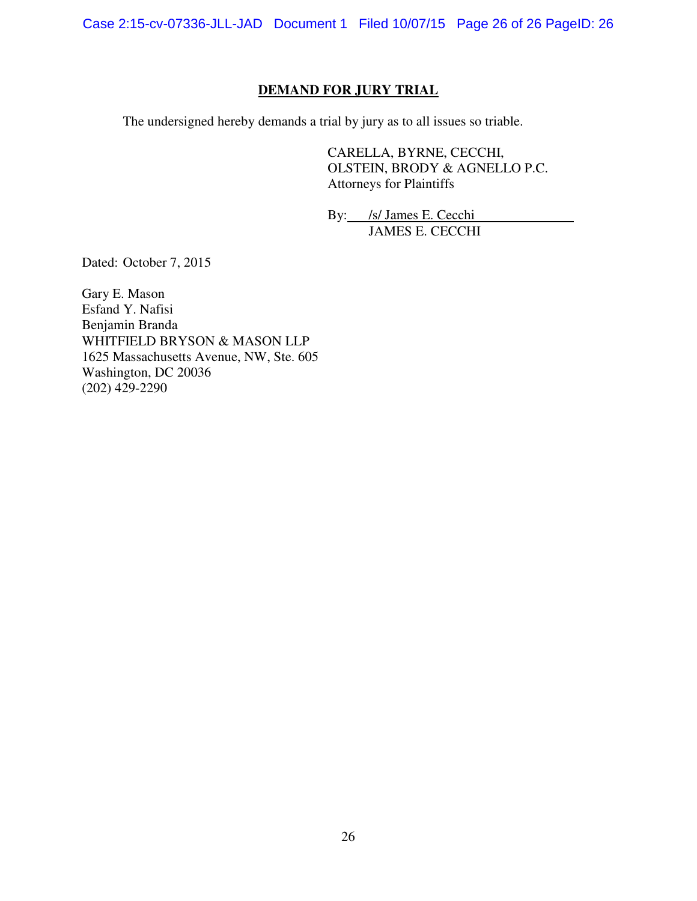Case 2:15-cv-07336-JLL-JAD Document 1 Filed 10/07/15 Page 26 of 26 PageID: 26

### **DEMAND FOR JURY TRIAL**

The undersigned hereby demands a trial by jury as to all issues so triable.

CARELLA, BYRNE, CECCHI, OLSTEIN, BRODY & AGNELLO P.C. Attorneys for Plaintiffs

By: /s/ James E. Cecchi JAMES E. CECCHI

Dated: October 7, 2015

Gary E. Mason Esfand Y. Nafisi Benjamin Branda WHITFIELD BRYSON & MASON LLP 1625 Massachusetts Avenue, NW, Ste. 605 Washington, DC 20036 (202) 429-2290